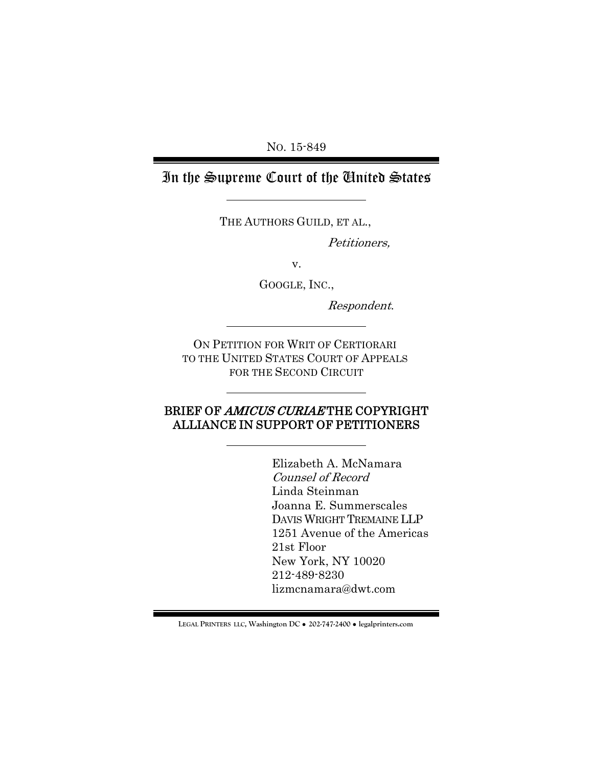NO. 15-849

# In the Supreme Court of the United States

THE AUTHORS GUILD, ET AL.,

Petitioners,

v.

GOOGLE, INC.,

Respondent.

ON PETITION FOR WRIT OF CERTIORARI TO THE UNITED STATES COURT OF APPEALS FOR THE SECOND CIRCUIT

### BRIEF OF AMICUS CURIAETHE COPYRIGHT ALLIANCE IN SUPPORT OF PETITIONERS

Elizabeth A. McNamara Counsel of Record Linda Steinman Joanna E. Summerscales DAVIS WRIGHT TREMAINE LLP 1251 Avenue of the Americas 21st Floor New York, NY 10020 212-489-8230 lizmcnamara@dwt.com

**LEGAL PRINTERS LLC, Washington DC** ! **202-747-2400** ! **legalprinters.com**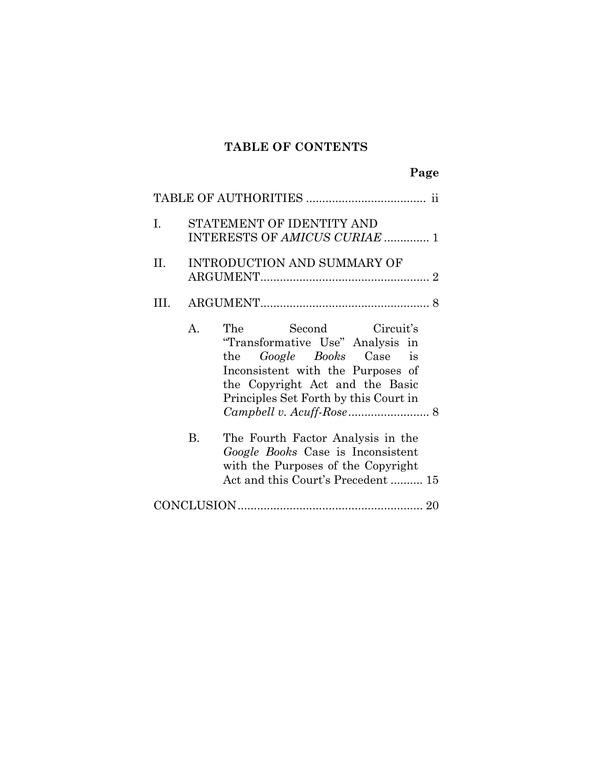# **TABLE OF CONTENTS**

|        |                                                            | Page                                                                                                                                                                                                            |  |  |  |  |
|--------|------------------------------------------------------------|-----------------------------------------------------------------------------------------------------------------------------------------------------------------------------------------------------------------|--|--|--|--|
|        |                                                            |                                                                                                                                                                                                                 |  |  |  |  |
| Ī.     | STATEMENT OF IDENTITY AND<br>INTERESTS OF AMICUS CURIAE  1 |                                                                                                                                                                                                                 |  |  |  |  |
| II. II | INTRODUCTION AND SUMMARY OF                                |                                                                                                                                                                                                                 |  |  |  |  |
| III.   |                                                            |                                                                                                                                                                                                                 |  |  |  |  |
|        | A.                                                         | The<br>Second Circuit's<br>"Transformative Use" Analysis in<br>the <i>Google Books</i> Case is<br>Inconsistent with the Purposes of<br>the Copyright Act and the Basic<br>Principles Set Forth by this Court in |  |  |  |  |
|        | <b>B.</b>                                                  | The Fourth Factor Analysis in the<br>Google Books Case is Inconsistent<br>with the Purposes of the Copyright<br>Act and this Court's Precedent  15                                                              |  |  |  |  |
|        |                                                            |                                                                                                                                                                                                                 |  |  |  |  |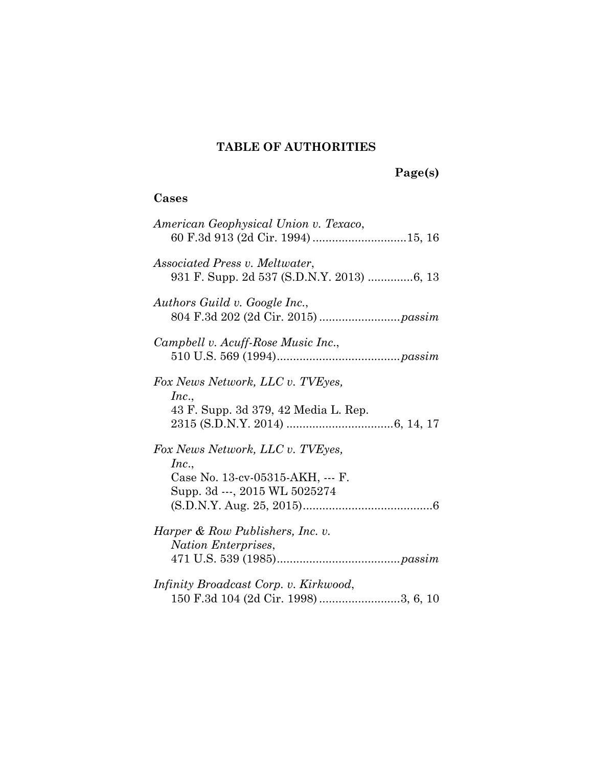## **TABLE OF AUTHORITIES**

 **Page(s)** 

## **Cases**

| American Geophysical Union v. Texaco,<br>60 F.3d 913 (2d Cir. 1994) 15, 16                                     |
|----------------------------------------------------------------------------------------------------------------|
| Associated Press v. Meltwater,<br>931 F. Supp. 2d 537 (S.D.N.Y. 2013) 6, 13                                    |
| Authors Guild v. Google Inc.,                                                                                  |
| Campbell v. Acuff-Rose Music Inc.,                                                                             |
| Fox News Network, LLC v. TVEyes,<br>Inc.,<br>43 F. Supp. 3d 379, 42 Media L. Rep.                              |
| Fox News Network, LLC v. TVEyes,<br>Inc.,<br>Case No. 13-cv-05315-AKH, --- F.<br>Supp. 3d ---, 2015 WL 5025274 |
| Harper & Row Publishers, Inc. v.<br>Nation Enterprises,                                                        |
| <i>Infinity Broadcast Corp. v. Kirkwood,</i><br>150 F.3d 104 (2d Cir. 1998) 3, 6, 10                           |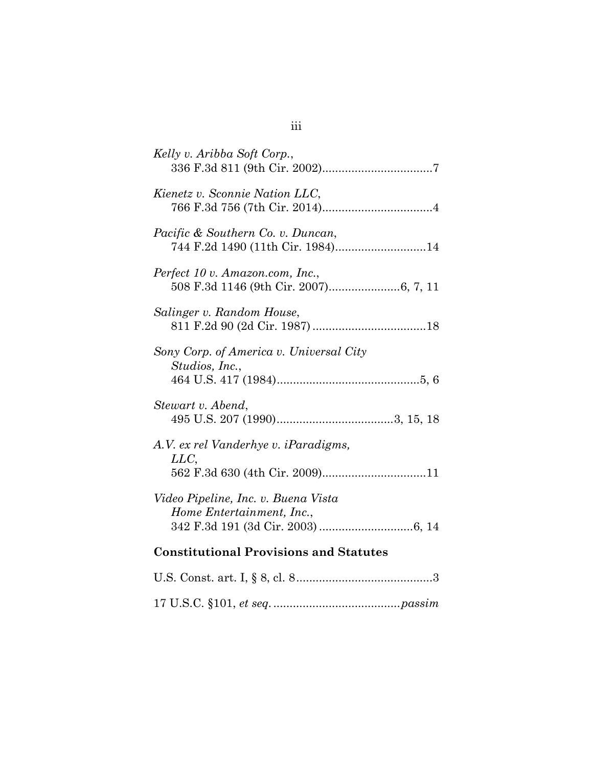| Kelly v. Aribba Soft Corp.,                                                    |
|--------------------------------------------------------------------------------|
| Kienetz v. Sconnie Nation LLC,                                                 |
| Pacific & Southern Co. v. Duncan,                                              |
| Perfect 10 v. Amazon.com, Inc.,                                                |
| Salinger v. Random House,                                                      |
| Sony Corp. of America v. Universal City<br>Studios, Inc.,                      |
| Stewart v. Abend,                                                              |
| A.V. ex rel Vanderhye v. iParadigms,<br>LLC,<br>562 F.3d 630 (4th Cir. 2009)11 |
| Video Pipeline, Inc. v. Buena Vista<br>Home Entertainment, Inc.,               |
| <b>Constitutional Provisions and Statutes</b>                                  |
| IIS Const art I 8.8 cl 8<br>3                                                  |

## iii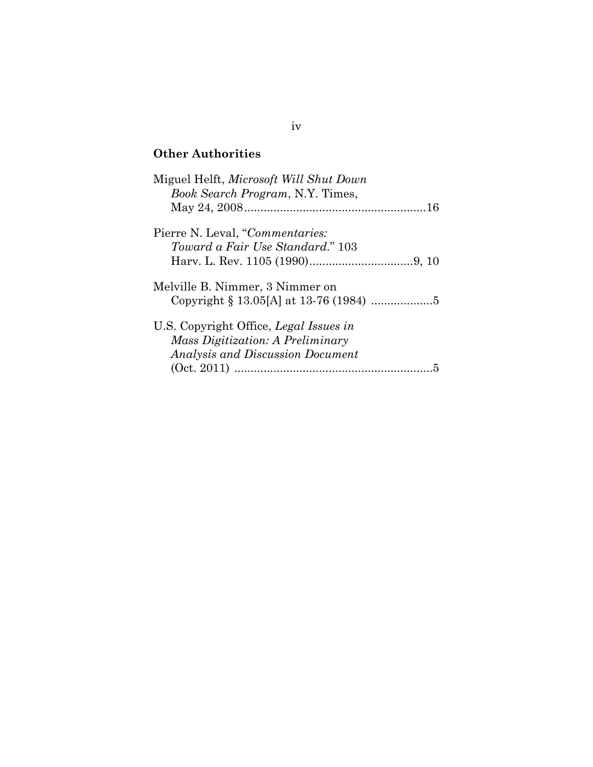## **Other Authorities**

| Miguel Helft, Microsoft Will Shut Down<br>Book Search Program, N.Y. Times,                                            |
|-----------------------------------------------------------------------------------------------------------------------|
|                                                                                                                       |
| Pierre N. Leval, "Commentaries:<br>Toward a Fair Use Standard." 103                                                   |
| Melville B. Nimmer, 3 Nimmer on                                                                                       |
| U.S. Copyright Office, Legal Issues in<br><i>Mass Digitization: A Preliminary</i><br>Analysis and Discussion Document |

### iv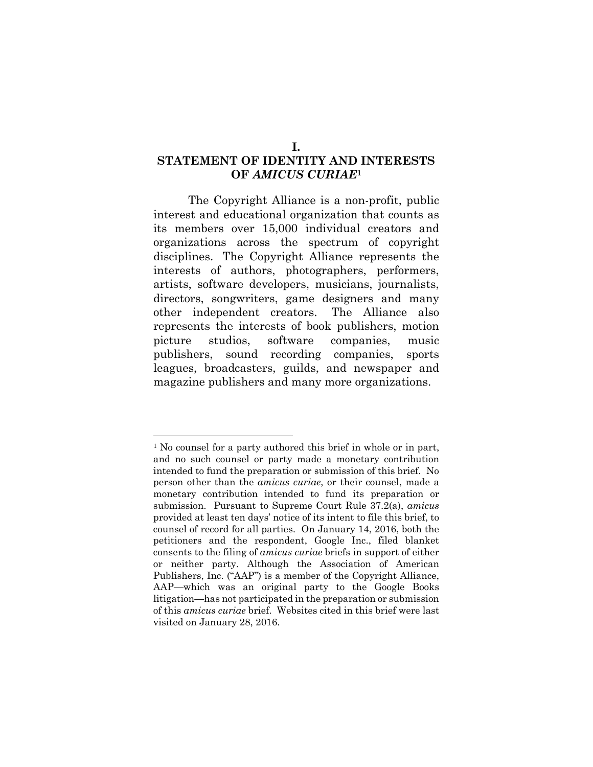### **STATEMENT OF IDENTITY AND INTERESTS OF** *AMICUS CURIAE***<sup>1</sup>**

The Copyright Alliance is a non-profit, public interest and educational organization that counts as its members over 15,000 individual creators and organizations across the spectrum of copyright disciplines. The Copyright Alliance represents the interests of authors, photographers, performers, artists, software developers, musicians, journalists, directors, songwriters, game designers and many other independent creators. The Alliance also represents the interests of book publishers, motion picture studios, software companies, music publishers, sound recording companies, sports leagues, broadcasters, guilds, and newspaper and magazine publishers and many more organizations.

<sup>&</sup>lt;sup>1</sup> No counsel for a party authored this brief in whole or in part, and no such counsel or party made a monetary contribution intended to fund the preparation or submission of this brief. No person other than the *amicus curiae*, or their counsel, made a monetary contribution intended to fund its preparation or submission. Pursuant to Supreme Court Rule 37.2(a), *amicus* provided at least ten days' notice of its intent to file this brief, to counsel of record for all parties. On January 14, 2016, both the petitioners and the respondent, Google Inc., filed blanket consents to the filing of *amicus curiae* briefs in support of either or neither party. Although the Association of American Publishers, Inc. ("AAP") is a member of the Copyright Alliance, AAP—which was an original party to the Google Books litigation—has not participated in the preparation or submission of this *amicus curiae* brief. Websites cited in this brief were last visited on January 28, 2016.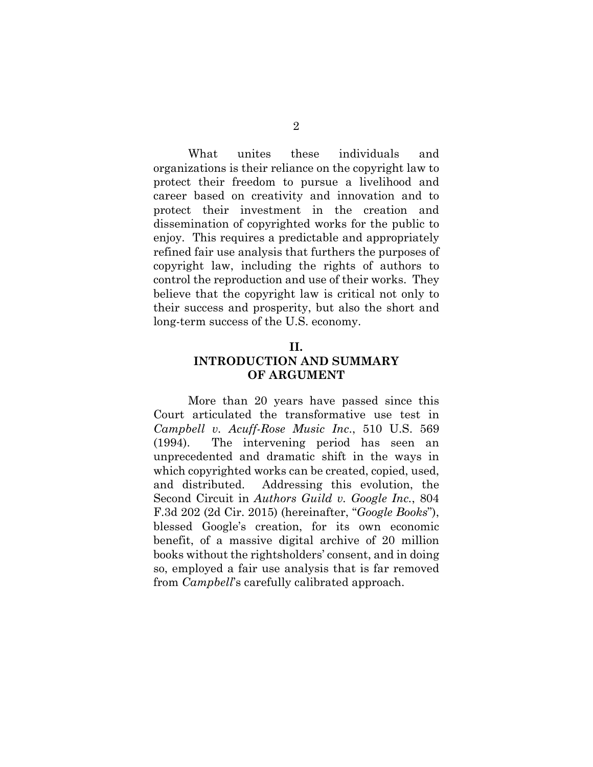What unites these individuals and organizations is their reliance on the copyright law to protect their freedom to pursue a livelihood and career based on creativity and innovation and to protect their investment in the creation and dissemination of copyrighted works for the public to enjoy. This requires a predictable and appropriately refined fair use analysis that furthers the purposes of copyright law, including the rights of authors to control the reproduction and use of their works. They believe that the copyright law is critical not only to their success and prosperity, but also the short and long-term success of the U.S. economy.

#### **II.**

#### **INTRODUCTION AND SUMMARY OF ARGUMENT**

More than 20 years have passed since this Court articulated the transformative use test in *Campbell v. Acuff-Rose Music Inc*., 510 U.S. 569 (1994). The intervening period has seen an unprecedented and dramatic shift in the ways in which copyrighted works can be created, copied, used, and distributed. Addressing this evolution, the Second Circuit in *Authors Guild v. Google Inc.*, 804 F.3d 202 (2d Cir. 2015) (hereinafter, "*Google Books*"), blessed Google's creation, for its own economic benefit, of a massive digital archive of 20 million books without the rightsholders' consent, and in doing so, employed a fair use analysis that is far removed from *Campbell*'s carefully calibrated approach.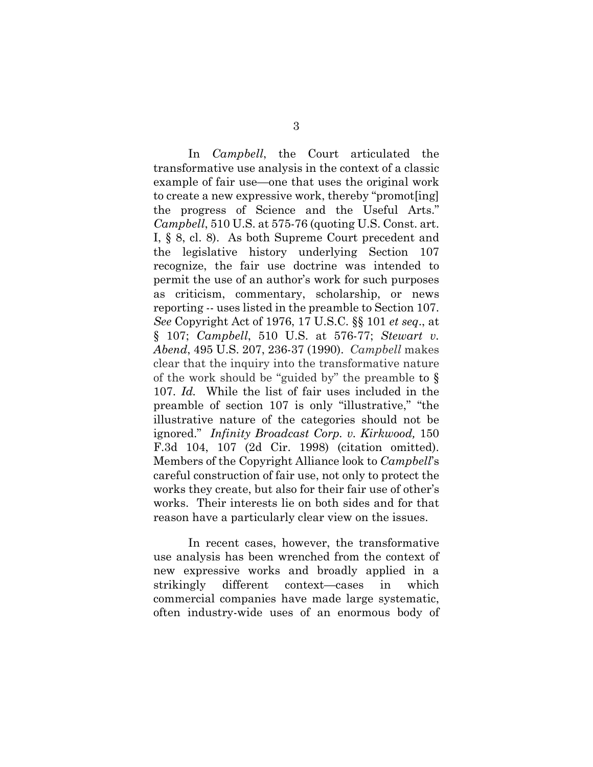In *Campbell*, the Court articulated the transformative use analysis in the context of a classic example of fair use—one that uses the original work to create a new expressive work, thereby "promot[ing] the progress of Science and the Useful Arts." *Campbell*, 510 U.S. at 575-76 (quoting U.S. Const. art. I, § 8, cl. 8). As both Supreme Court precedent and the legislative history underlying Section 107 recognize, the fair use doctrine was intended to permit the use of an author's work for such purposes as criticism, commentary, scholarship, or news reporting -- uses listed in the preamble to Section 107. *See* Copyright Act of 1976, 17 U.S.C. §§ 101 *et seq*., at § 107; *Campbell*, 510 U.S. at 576-77; *Stewart v. Abend*, 495 U.S. 207, 236-37 (1990). *Campbell* makes clear that the inquiry into the transformative nature of the work should be "guided by" the preamble to § 107. *Id.* While the list of fair uses included in the preamble of section 107 is only "illustrative," "the illustrative nature of the categories should not be ignored." *Infinity Broadcast Corp. v. Kirkwood,* 150 F.3d 104, 107 (2d Cir. 1998) (citation omitted). Members of the Copyright Alliance look to *Campbell*'s careful construction of fair use, not only to protect the works they create, but also for their fair use of other's works. Their interests lie on both sides and for that reason have a particularly clear view on the issues.

In recent cases, however, the transformative use analysis has been wrenched from the context of new expressive works and broadly applied in a strikingly different context—cases in which commercial companies have made large systematic, often industry-wide uses of an enormous body of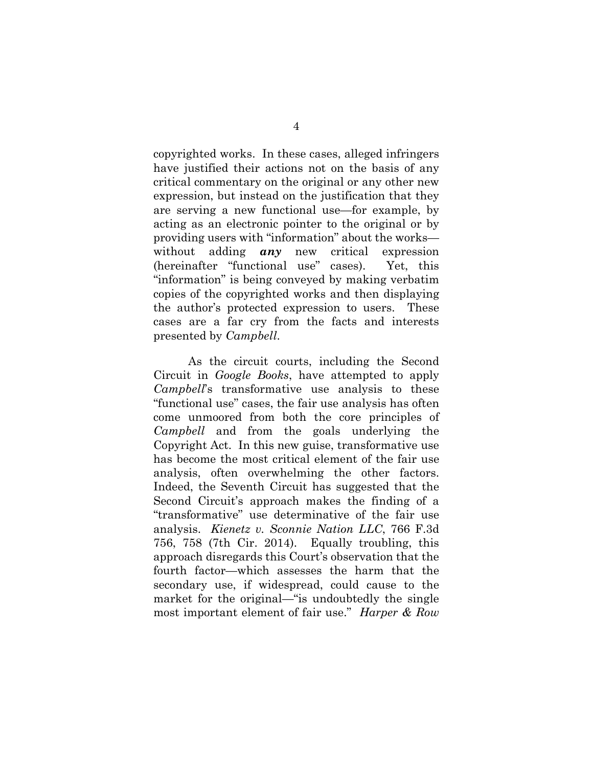copyrighted works. In these cases, alleged infringers have justified their actions not on the basis of any critical commentary on the original or any other new expression, but instead on the justification that they are serving a new functional use—for example, by acting as an electronic pointer to the original or by providing users with "information" about the works without adding *any* new critical expression (hereinafter "functional use" cases). Yet, this "information" is being conveyed by making verbatim copies of the copyrighted works and then displaying the author's protected expression to users. These cases are a far cry from the facts and interests presented by *Campbell*.

As the circuit courts, including the Second Circuit in *Google Books*, have attempted to apply *Campbell*'s transformative use analysis to these "functional use" cases, the fair use analysis has often come unmoored from both the core principles of *Campbell* and from the goals underlying the Copyright Act. In this new guise, transformative use has become the most critical element of the fair use analysis, often overwhelming the other factors. Indeed, the Seventh Circuit has suggested that the Second Circuit's approach makes the finding of a "transformative" use determinative of the fair use analysis. *Kienetz v. Sconnie Nation LLC*, 766 F.3d 756, 758 (7th Cir. 2014). Equally troubling, this approach disregards this Court's observation that the fourth factor—which assesses the harm that the secondary use, if widespread, could cause to the market for the original—"is undoubtedly the single most important element of fair use." *Harper & Row*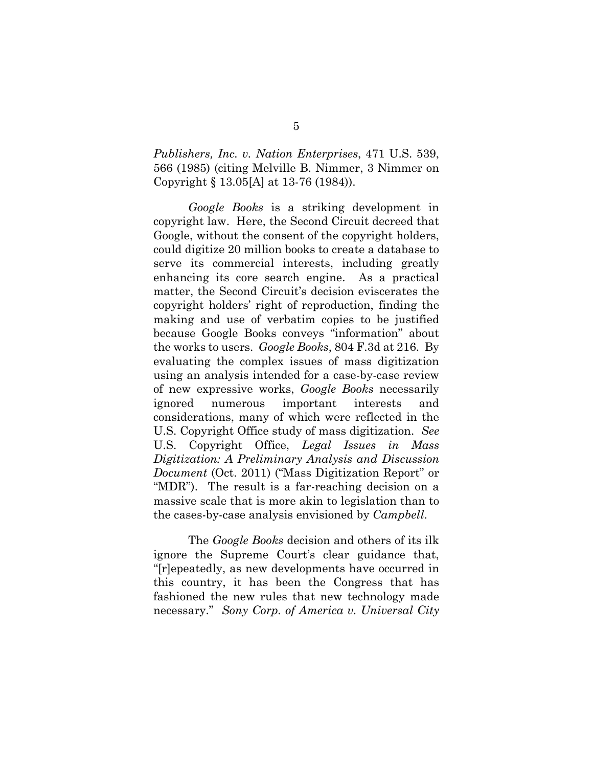*Publishers, Inc. v. Nation Enterprises*, 471 U.S. 539, 566 (1985) (citing Melville B. Nimmer, 3 Nimmer on Copyright § 13.05[A] at 13-76 (1984)).

*Google Books* is a striking development in copyright law. Here, the Second Circuit decreed that Google, without the consent of the copyright holders, could digitize 20 million books to create a database to serve its commercial interests, including greatly enhancing its core search engine. As a practical matter, the Second Circuit's decision eviscerates the copyright holders' right of reproduction, finding the making and use of verbatim copies to be justified because Google Books conveys "information" about the works to users. *Google Books*, 804 F.3d at 216. By evaluating the complex issues of mass digitization using an analysis intended for a case-by-case review of new expressive works, *Google Books* necessarily ignored numerous important interests and considerations, many of which were reflected in the U.S. Copyright Office study of mass digitization. *See*  U.S. Copyright Office, *Legal Issues in Mass Digitization: A Preliminary Analysis and Discussion Document* (Oct. 2011) ("Mass Digitization Report" or "MDR"). The result is a far-reaching decision on a massive scale that is more akin to legislation than to the cases-by-case analysis envisioned by *Campbell*.

The *Google Books* decision and others of its ilk ignore the Supreme Court's clear guidance that, "[r]epeatedly, as new developments have occurred in this country, it has been the Congress that has fashioned the new rules that new technology made necessary." *Sony Corp. of America v. Universal City*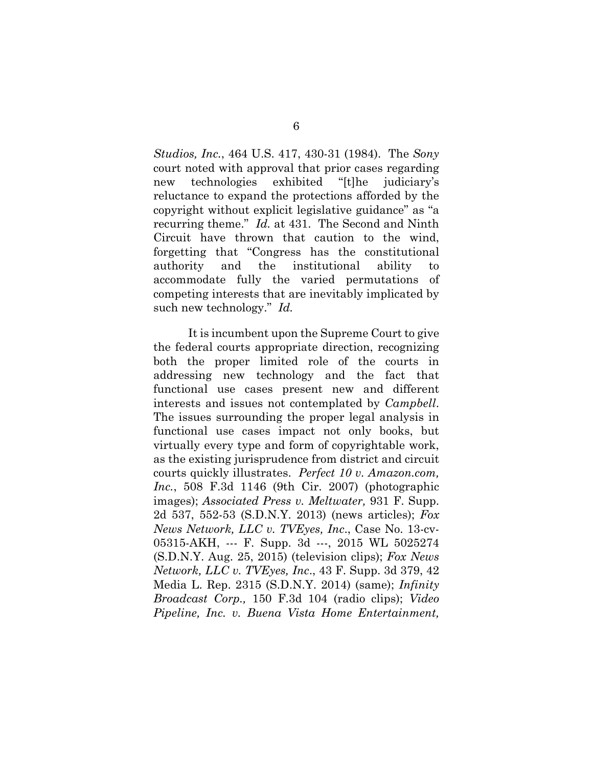*Studios, Inc.*, 464 U.S. 417, 430-31 (1984). The *Sony* court noted with approval that prior cases regarding new technologies exhibited "[t]he judiciary's reluctance to expand the protections afforded by the copyright without explicit legislative guidance" as "a recurring theme." *Id.* at 431. The Second and Ninth Circuit have thrown that caution to the wind, forgetting that "Congress has the constitutional authority and the institutional ability to accommodate fully the varied permutations of competing interests that are inevitably implicated by such new technology." *Id.*

It is incumbent upon the Supreme Court to give the federal courts appropriate direction, recognizing both the proper limited role of the courts in addressing new technology and the fact that functional use cases present new and different interests and issues not contemplated by *Campbell*. The issues surrounding the proper legal analysis in functional use cases impact not only books, but virtually every type and form of copyrightable work, as the existing jurisprudence from district and circuit courts quickly illustrates. *Perfect 10 v. Amazon.com, Inc.*, 508 F.3d 1146 (9th Cir. 2007) (photographic images); *Associated Press v. Meltwater,* 931 F. Supp. 2d 537, 552-53 (S.D.N.Y. 2013) (news articles); *Fox News Network, LLC v. TVEyes, Inc*., Case No. 13-cv-05315-AKH, --- F. Supp. 3d ---, 2015 WL 5025274 (S.D.N.Y. Aug. 25, 2015) (television clips); *Fox News Network, LLC v. TVEyes, Inc*., 43 F. Supp. 3d 379, 42 Media L. Rep. 2315 (S.D.N.Y. 2014) (same); *Infinity Broadcast Corp.,* 150 F.3d 104 (radio clips); *Video Pipeline, Inc. v. Buena Vista Home Entertainment,*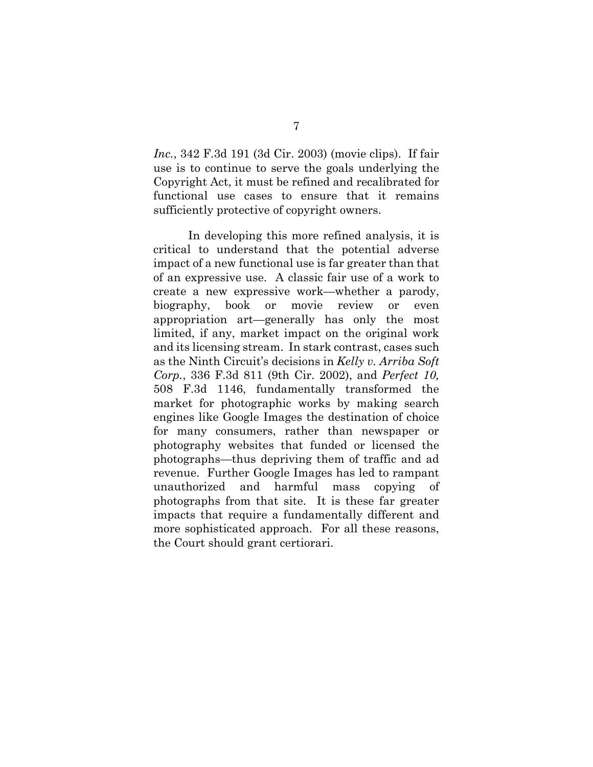*Inc.*, 342 F.3d 191 (3d Cir. 2003) (movie clips). If fair use is to continue to serve the goals underlying the Copyright Act, it must be refined and recalibrated for functional use cases to ensure that it remains sufficiently protective of copyright owners.

In developing this more refined analysis, it is critical to understand that the potential adverse impact of a new functional use is far greater than that of an expressive use. A classic fair use of a work to create a new expressive work—whether a parody, biography, book or movie review or even appropriation art—generally has only the most limited, if any, market impact on the original work and its licensing stream. In stark contrast, cases such as the Ninth Circuit's decisions in *Kelly v. Arriba Soft Corp.*, 336 F.3d 811 (9th Cir. 2002), and *Perfect 10,*  508 F.3d 1146, fundamentally transformed the market for photographic works by making search engines like Google Images the destination of choice for many consumers, rather than newspaper or photography websites that funded or licensed the photographs—thus depriving them of traffic and ad revenue. Further Google Images has led to rampant unauthorized and harmful mass copying of photographs from that site. It is these far greater impacts that require a fundamentally different and more sophisticated approach. For all these reasons, the Court should grant certiorari.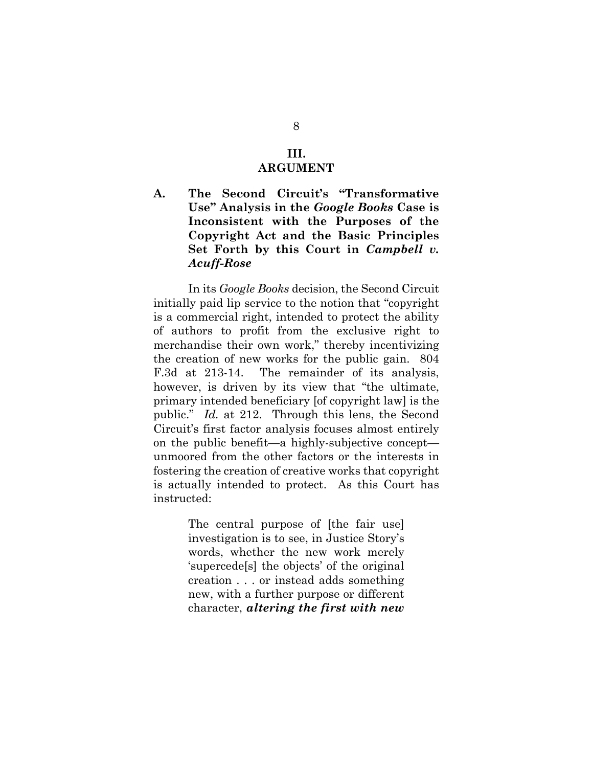#### **III. ARGUMENT**

**A. The Second Circuit's "Transformative Use" Analysis in the** *Google Books* **Case is Inconsistent with the Purposes of the Copyright Act and the Basic Principles Set Forth by this Court in** *Campbell v. Acuff-Rose*

In its *Google Books* decision, the Second Circuit initially paid lip service to the notion that "copyright is a commercial right, intended to protect the ability of authors to profit from the exclusive right to merchandise their own work," thereby incentivizing the creation of new works for the public gain. 804 F.3d at 213-14. The remainder of its analysis, however, is driven by its view that "the ultimate, primary intended beneficiary [of copyright law] is the public." *Id.* at 212. Through this lens, the Second Circuit's first factor analysis focuses almost entirely on the public benefit—a highly-subjective concept unmoored from the other factors or the interests in fostering the creation of creative works that copyright is actually intended to protect. As this Court has instructed:

> The central purpose of [the fair use] investigation is to see, in Justice Story's words, whether the new work merely 'supercede[s] the objects' of the original creation . . . or instead adds something new, with a further purpose or different character, *altering the first with new*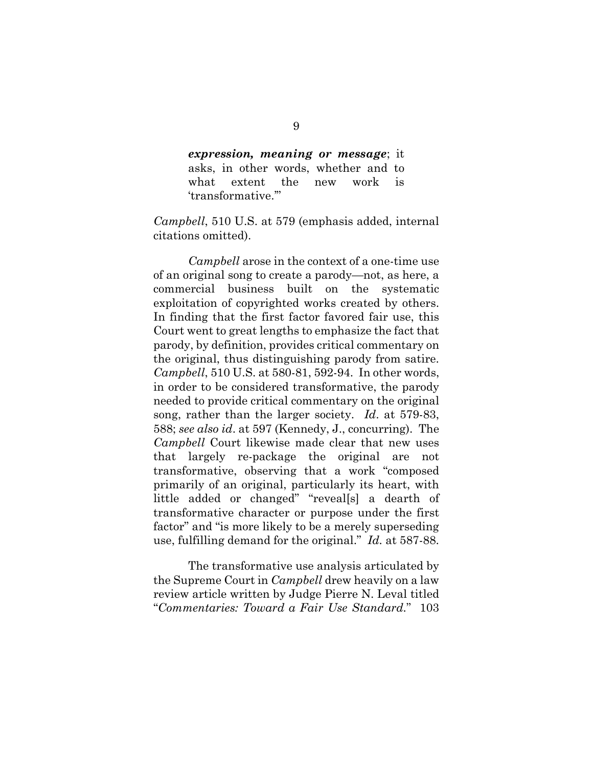*expression, meaning or message*; it asks, in other words, whether and to what extent the new work is 'transformative.'"

*Campbell*, 510 U.S. at 579 (emphasis added, internal citations omitted).

*Campbell* arose in the context of a one-time use of an original song to create a parody—not, as here, a commercial business built on the systematic exploitation of copyrighted works created by others. In finding that the first factor favored fair use, this Court went to great lengths to emphasize the fact that parody, by definition, provides critical commentary on the original, thus distinguishing parody from satire. *Campbell*, 510 U.S. at 580-81, 592-94. In other words, in order to be considered transformative, the parody needed to provide critical commentary on the original song, rather than the larger society. *Id*. at 579-83, 588; *see also id*. at 597 (Kennedy, J., concurring). The *Campbell* Court likewise made clear that new uses that largely re-package the original are not transformative, observing that a work "composed primarily of an original, particularly its heart, with little added or changed" "reveal[s] a dearth of transformative character or purpose under the first factor" and "is more likely to be a merely superseding use, fulfilling demand for the original." *Id.* at 587-88.

The transformative use analysis articulated by the Supreme Court in *Campbell* drew heavily on a law review article written by Judge Pierre N. Leval titled "*Commentaries: Toward a Fair Use Standard.*" 103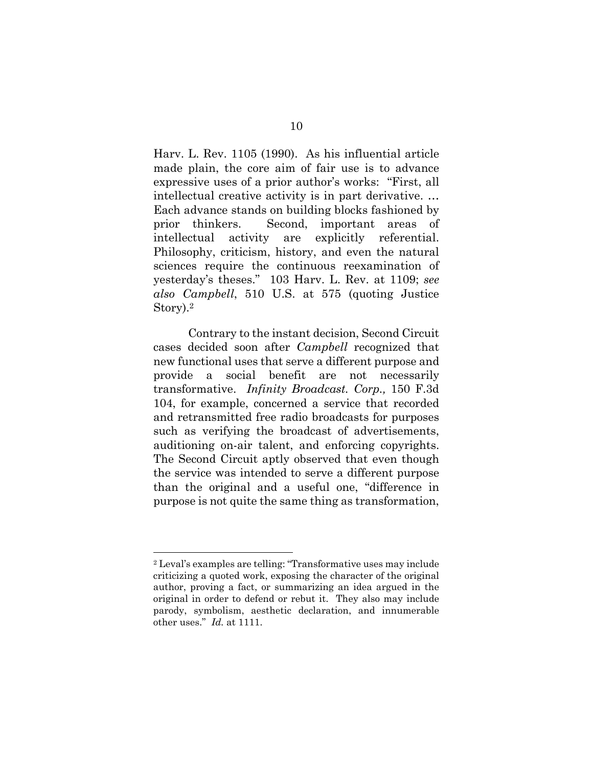Harv. L. Rev. 1105 (1990). As his influential article made plain, the core aim of fair use is to advance expressive uses of a prior author's works: "First, all intellectual creative activity is in part derivative. … Each advance stands on building blocks fashioned by prior thinkers. Second, important areas of intellectual activity are explicitly referential. Philosophy, criticism, history, and even the natural sciences require the continuous reexamination of yesterday's theses." 103 Harv. L. Rev. at 1109; *see also Campbell*, 510 U.S. at 575 (quoting Justice Story).2

Contrary to the instant decision, Second Circuit cases decided soon after *Campbell* recognized that new functional uses that serve a different purpose and provide a social benefit are not necessarily transformative. *Infinity Broadcast. Corp.,* 150 F.3d 104, for example, concerned a service that recorded and retransmitted free radio broadcasts for purposes such as verifying the broadcast of advertisements, auditioning on-air talent, and enforcing copyrights. The Second Circuit aptly observed that even though the service was intended to serve a different purpose than the original and a useful one, "difference in purpose is not quite the same thing as transformation,

l

<sup>2</sup> Leval's examples are telling: "Transformative uses may include criticizing a quoted work, exposing the character of the original author, proving a fact, or summarizing an idea argued in the original in order to defend or rebut it. They also may include parody, symbolism, aesthetic declaration, and innumerable other uses." *Id.* at 1111.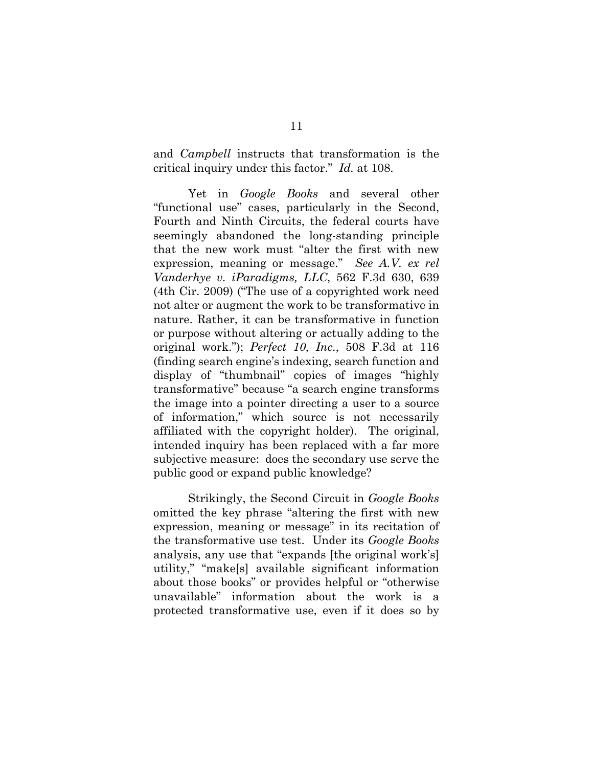and *Campbell* instructs that transformation is the critical inquiry under this factor." *Id.* at 108.

Yet in *Google Books* and several other "functional use" cases, particularly in the Second, Fourth and Ninth Circuits, the federal courts have seemingly abandoned the long-standing principle that the new work must "alter the first with new expression, meaning or message." *See A.V. ex rel Vanderhye v. iParadigms, LLC*, 562 F.3d 630, 639 (4th Cir. 2009) ("The use of a copyrighted work need not alter or augment the work to be transformative in nature. Rather, it can be transformative in function or purpose without altering or actually adding to the original work."); *Perfect 10, Inc.*, 508 F.3d at 116 (finding search engine's indexing, search function and display of "thumbnail" copies of images "highly transformative" because "a search engine transforms the image into a pointer directing a user to a source of information," which source is not necessarily affiliated with the copyright holder). The original, intended inquiry has been replaced with a far more subjective measure: does the secondary use serve the public good or expand public knowledge?

Strikingly, the Second Circuit in *Google Books* omitted the key phrase "altering the first with new expression, meaning or message" in its recitation of the transformative use test. Under its *Google Books* analysis, any use that "expands [the original work's] utility," "make[s] available significant information about those books" or provides helpful or "otherwise unavailable" information about the work is a protected transformative use, even if it does so by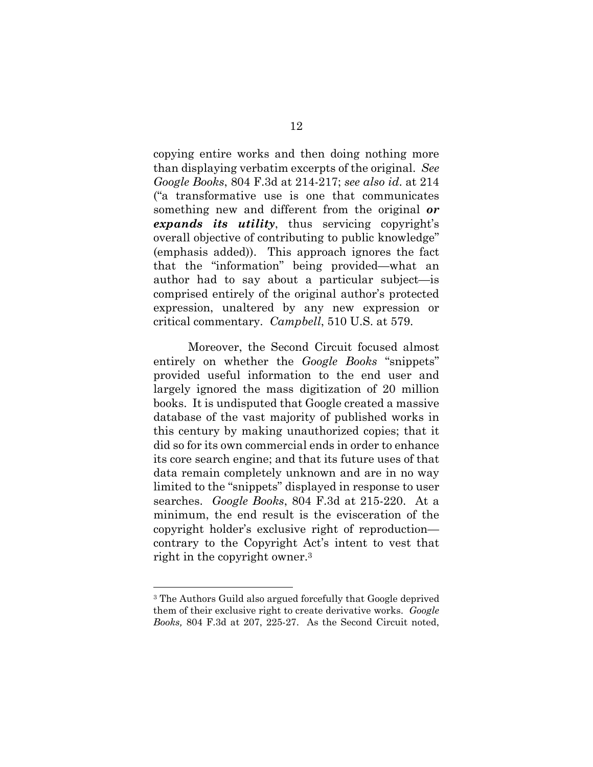copying entire works and then doing nothing more than displaying verbatim excerpts of the original. *See Google Books*, 804 F.3d at 214-217; *see also id*. at 214 ("a transformative use is one that communicates something new and different from the original *or expands its utility*, thus servicing copyright's overall objective of contributing to public knowledge" (emphasis added)). This approach ignores the fact that the "information" being provided—what an author had to say about a particular subject—is comprised entirely of the original author's protected expression, unaltered by any new expression or critical commentary. *Campbell*, 510 U.S. at 579.

Moreover, the Second Circuit focused almost entirely on whether the *Google Books* "snippets" provided useful information to the end user and largely ignored the mass digitization of 20 million books. It is undisputed that Google created a massive database of the vast majority of published works in this century by making unauthorized copies; that it did so for its own commercial ends in order to enhance its core search engine; and that its future uses of that data remain completely unknown and are in no way limited to the "snippets" displayed in response to user searches. *Google Books*, 804 F.3d at 215-220. At a minimum, the end result is the evisceration of the copyright holder's exclusive right of reproduction contrary to the Copyright Act's intent to vest that right in the copyright owner.3

l

<sup>3</sup> The Authors Guild also argued forcefully that Google deprived them of their exclusive right to create derivative works. *Google Books,* 804 F.3d at 207, 225-27. As the Second Circuit noted,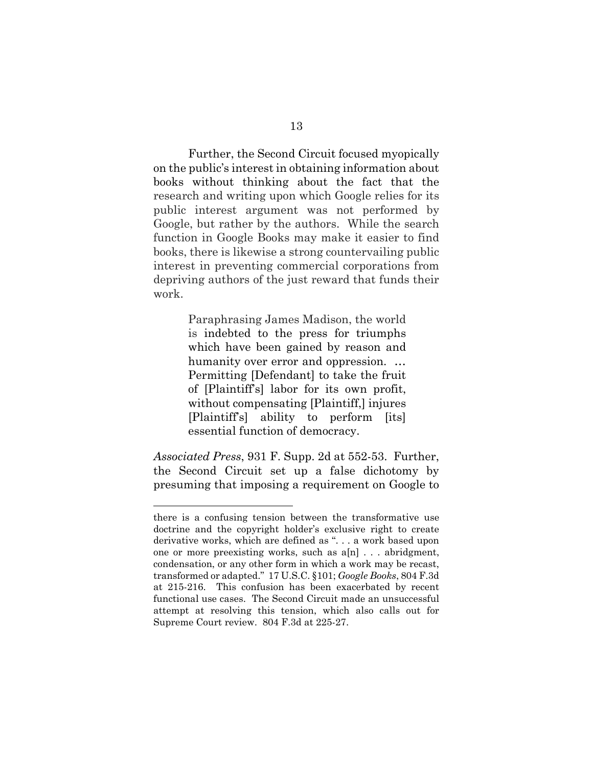Further, the Second Circuit focused myopically on the public's interest in obtaining information about books without thinking about the fact that the research and writing upon which Google relies for its public interest argument was not performed by Google, but rather by the authors. While the search function in Google Books may make it easier to find books, there is likewise a strong countervailing public interest in preventing commercial corporations from depriving authors of the just reward that funds their work.

> Paraphrasing James Madison, the world is indebted to the press for triumphs which have been gained by reason and humanity over error and oppression. … Permitting [Defendant] to take the fruit of [Plaintiff's] labor for its own profit, without compensating [Plaintiff,] injures [Plaintiff's] ability to perform [its] essential function of democracy.

*Associated Press*, 931 F. Supp. 2d at 552-53. Further, the Second Circuit set up a false dichotomy by presuming that imposing a requirement on Google to

l

there is a confusing tension between the transformative use doctrine and the copyright holder's exclusive right to create derivative works, which are defined as ". . . a work based upon one or more preexisting works, such as a[n] . . . abridgment, condensation, or any other form in which a work may be recast, transformed or adapted." 17 U.S.C. §101; *Google Books*, 804 F.3d at 215-216. This confusion has been exacerbated by recent functional use cases. The Second Circuit made an unsuccessful attempt at resolving this tension, which also calls out for Supreme Court review. 804 F.3d at 225-27.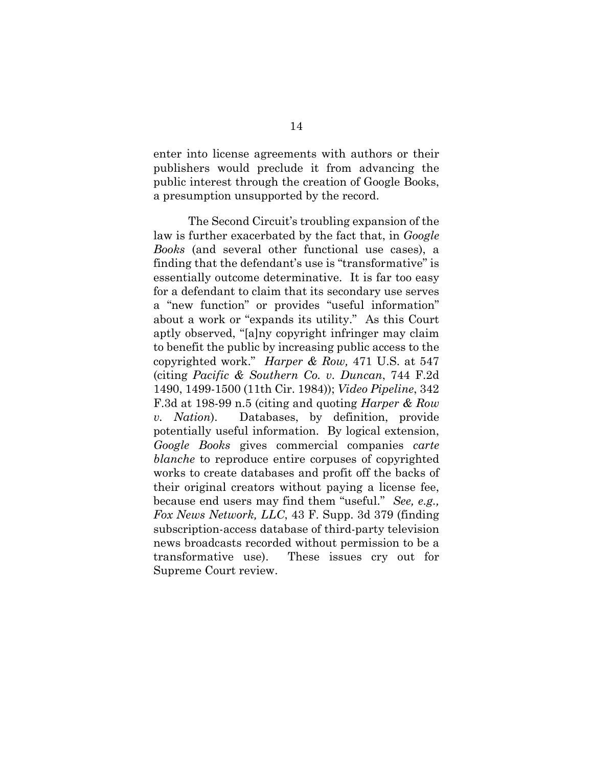enter into license agreements with authors or their publishers would preclude it from advancing the public interest through the creation of Google Books, a presumption unsupported by the record.

The Second Circuit's troubling expansion of the law is further exacerbated by the fact that, in *Google Books* (and several other functional use cases), a finding that the defendant's use is "transformative" is essentially outcome determinative. It is far too easy for a defendant to claim that its secondary use serves a "new function" or provides "useful information" about a work or "expands its utility." As this Court aptly observed, "[a]ny copyright infringer may claim to benefit the public by increasing public access to the copyrighted work." *Harper & Row,* 471 U.S. at 547 (citing *Pacific & Southern Co. v. Duncan*, 744 F.2d 1490, 1499-1500 (11th Cir. 1984)); *Video Pipeline*, 342 F.3d at 198-99 n.5 (citing and quoting *Harper & Row v. Nation*). Databases, by definition, provide potentially useful information. By logical extension, *Google Books* gives commercial companies *carte blanche* to reproduce entire corpuses of copyrighted works to create databases and profit off the backs of their original creators without paying a license fee, because end users may find them "useful." *See, e.g., Fox News Network, LLC*, 43 F. Supp. 3d 379 (finding subscription-access database of third-party television news broadcasts recorded without permission to be a transformative use). These issues cry out for Supreme Court review.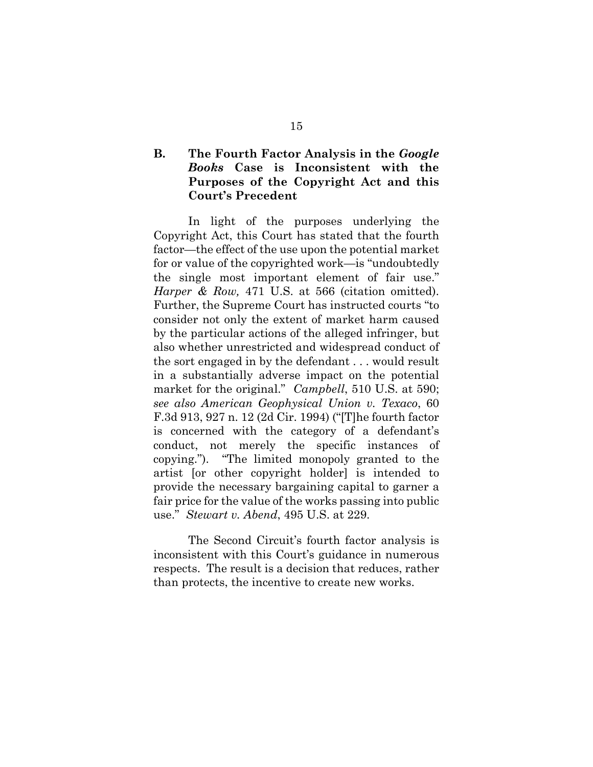#### **B. The Fourth Factor Analysis in the** *Google Books* **Case is Inconsistent with the Purposes of the Copyright Act and this Court's Precedent**

In light of the purposes underlying the Copyright Act, this Court has stated that the fourth factor—the effect of the use upon the potential market for or value of the copyrighted work—is "undoubtedly the single most important element of fair use." *Harper & Row,* 471 U.S. at 566 (citation omitted). Further, the Supreme Court has instructed courts "to consider not only the extent of market harm caused by the particular actions of the alleged infringer, but also whether unrestricted and widespread conduct of the sort engaged in by the defendant . . . would result in a substantially adverse impact on the potential market for the original." *Campbell*, 510 U.S. at 590; *see also American Geophysical Union v. Texaco*, 60 F.3d 913, 927 n. 12 (2d Cir. 1994) ("[T]he fourth factor is concerned with the category of a defendant's conduct, not merely the specific instances of copying."). "The limited monopoly granted to the artist [or other copyright holder] is intended to provide the necessary bargaining capital to garner a fair price for the value of the works passing into public use." *Stewart v. Abend*, 495 U.S. at 229.

The Second Circuit's fourth factor analysis is inconsistent with this Court's guidance in numerous respects. The result is a decision that reduces, rather than protects, the incentive to create new works.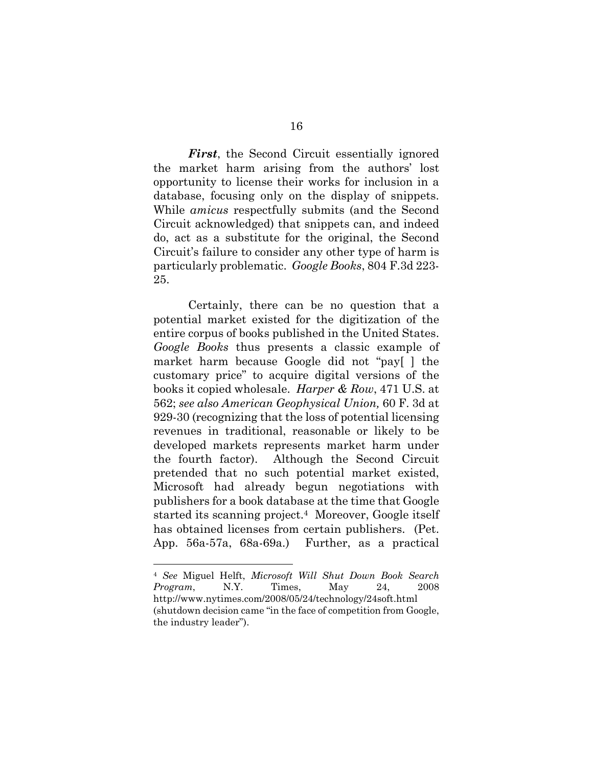*First*, the Second Circuit essentially ignored the market harm arising from the authors' lost opportunity to license their works for inclusion in a database, focusing only on the display of snippets. While *amicus* respectfully submits (and the Second Circuit acknowledged) that snippets can, and indeed do, act as a substitute for the original, the Second Circuit's failure to consider any other type of harm is particularly problematic. *Google Books*, 804 F.3d 223- 25.

Certainly, there can be no question that a potential market existed for the digitization of the entire corpus of books published in the United States. *Google Books* thus presents a classic example of market harm because Google did not "pay[ ] the customary price" to acquire digital versions of the books it copied wholesale. *Harper & Row*, 471 U.S. at 562; *see also American Geophysical Union,* 60 F. 3d at 929-30 (recognizing that the loss of potential licensing revenues in traditional, reasonable or likely to be developed markets represents market harm under the fourth factor). Although the Second Circuit pretended that no such potential market existed, Microsoft had already begun negotiations with publishers for a book database at the time that Google started its scanning project.4 Moreover, Google itself has obtained licenses from certain publishers. (Pet. App. 56a-57a, 68a-69a.) Further, as a practical

l

<sup>4</sup> *See* Miguel Helft, *Microsoft Will Shut Down Book Search Program*, N.Y. Times, May 24, 2008 http://www.nytimes.com/2008/05/24/technology/24soft.html (shutdown decision came "in the face of competition from Google, the industry leader").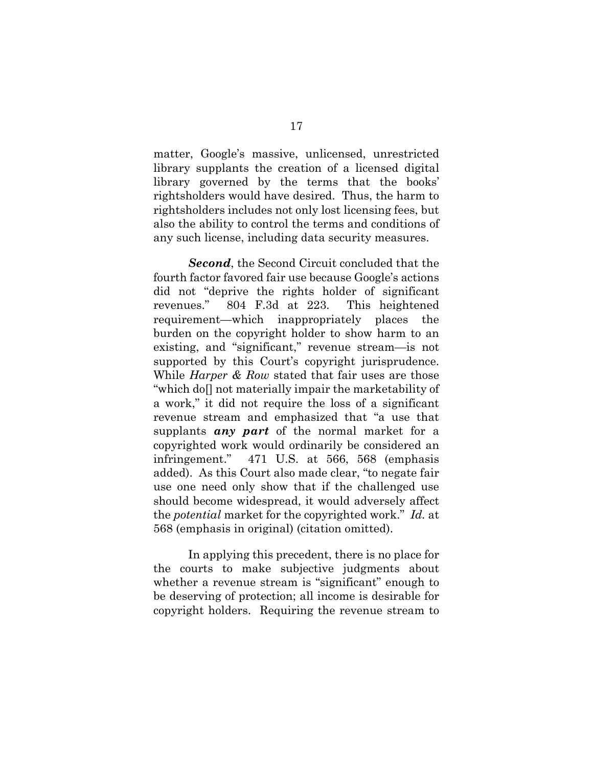matter, Google's massive, unlicensed, unrestricted library supplants the creation of a licensed digital library governed by the terms that the books' rightsholders would have desired. Thus, the harm to rightsholders includes not only lost licensing fees, but also the ability to control the terms and conditions of any such license, including data security measures.

*Second*, the Second Circuit concluded that the fourth factor favored fair use because Google's actions did not "deprive the rights holder of significant revenues." 804 F.3d at 223. This heightened requirement—which inappropriately places the burden on the copyright holder to show harm to an existing, and "significant," revenue stream—is not supported by this Court's copyright jurisprudence. While *Harper & Row* stated that fair uses are those "which do[] not materially impair the marketability of a work," it did not require the loss of a significant revenue stream and emphasized that "a use that supplants *any part* of the normal market for a copyrighted work would ordinarily be considered an infringement." 471 U.S. at 566, 568 (emphasis added). As this Court also made clear, "to negate fair use one need only show that if the challenged use should become widespread, it would adversely affect the *potential* market for the copyrighted work." *Id.* at 568 (emphasis in original) (citation omitted).

In applying this precedent, there is no place for the courts to make subjective judgments about whether a revenue stream is "significant" enough to be deserving of protection; all income is desirable for copyright holders. Requiring the revenue stream to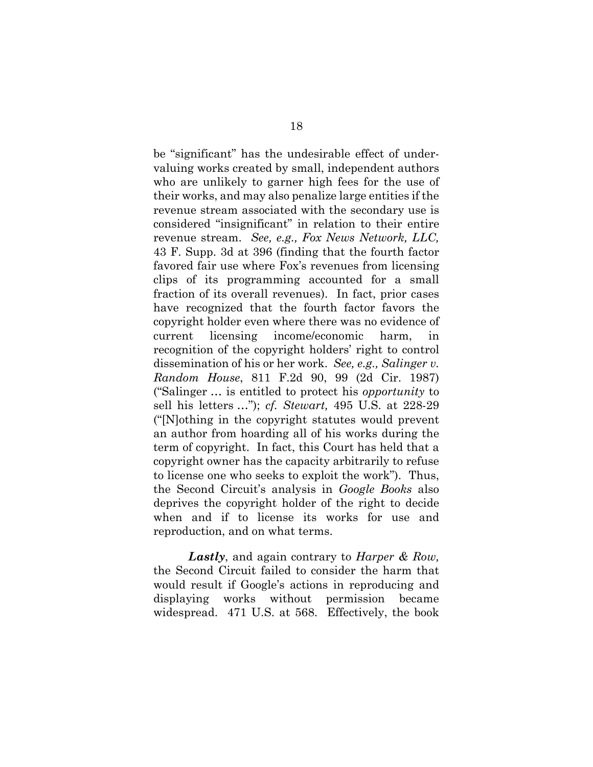be "significant" has the undesirable effect of undervaluing works created by small, independent authors who are unlikely to garner high fees for the use of their works, and may also penalize large entities if the revenue stream associated with the secondary use is considered "insignificant" in relation to their entire revenue stream. *See, e.g., Fox News Network, LLC,*  43 F. Supp. 3d at 396 (finding that the fourth factor favored fair use where Fox's revenues from licensing clips of its programming accounted for a small fraction of its overall revenues). In fact, prior cases have recognized that the fourth factor favors the copyright holder even where there was no evidence of current licensing income/economic harm, in recognition of the copyright holders' right to control dissemination of his or her work. *See, e.g., Salinger v. Random House*, 811 F.2d 90, 99 (2d Cir. 1987) ("Salinger … is entitled to protect his *opportunity* to sell his letters …"); *cf. Stewart,* 495 U.S. at 228-29 ("[N]othing in the copyright statutes would prevent an author from hoarding all of his works during the term of copyright. In fact, this Court has held that a copyright owner has the capacity arbitrarily to refuse to license one who seeks to exploit the work"). Thus, the Second Circuit's analysis in *Google Books* also deprives the copyright holder of the right to decide when and if to license its works for use and reproduction, and on what terms.

*Lastly*, and again contrary to *Harper & Row,*  the Second Circuit failed to consider the harm that would result if Google's actions in reproducing and displaying works without permission became widespread. 471 U.S. at 568. Effectively, the book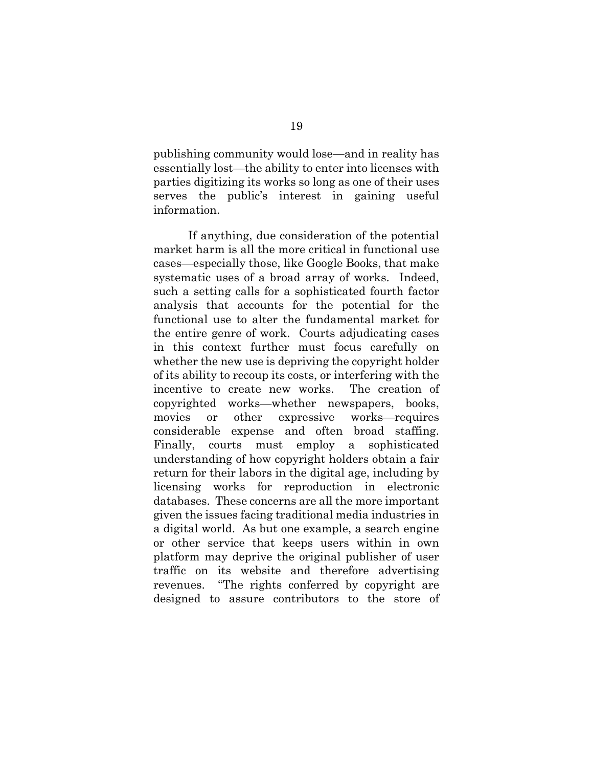publishing community would lose—and in reality has essentially lost—the ability to enter into licenses with parties digitizing its works so long as one of their uses serves the public's interest in gaining useful information.

If anything, due consideration of the potential market harm is all the more critical in functional use cases—especially those, like Google Books, that make systematic uses of a broad array of works. Indeed, such a setting calls for a sophisticated fourth factor analysis that accounts for the potential for the functional use to alter the fundamental market for the entire genre of work. Courts adjudicating cases in this context further must focus carefully on whether the new use is depriving the copyright holder of its ability to recoup its costs, or interfering with the incentive to create new works. The creation of copyrighted works—whether newspapers, books, movies or other expressive works—requires considerable expense and often broad staffing. Finally, courts must employ a sophisticated understanding of how copyright holders obtain a fair return for their labors in the digital age, including by licensing works for reproduction in electronic databases. These concerns are all the more important given the issues facing traditional media industries in a digital world. As but one example, a search engine or other service that keeps users within in own platform may deprive the original publisher of user traffic on its website and therefore advertising revenues. "The rights conferred by copyright are designed to assure contributors to the store of